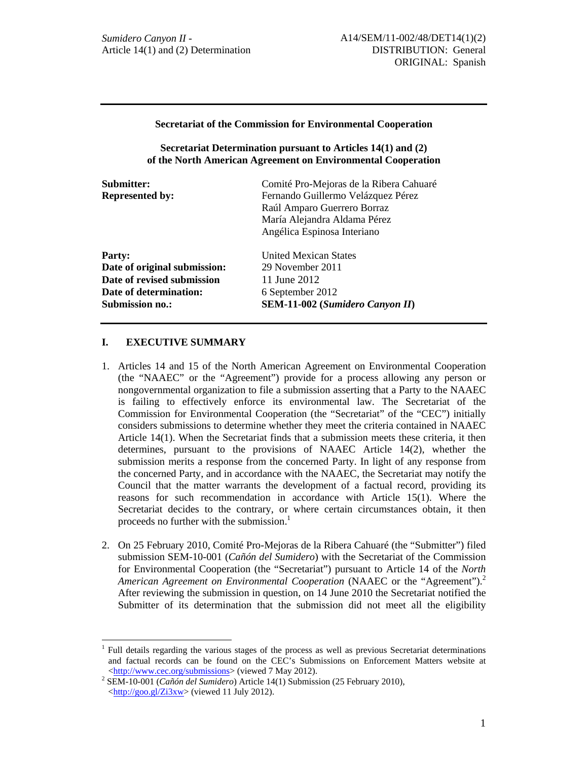### **Secretariat of the Commission for Environmental Cooperation**

**Secretariat Determination pursuant to Articles 14(1) and (2) of the North American Agreement on Environmental Cooperation** 

| Submitter:                   | Comité Pro-Mejoras de la Ribera Cahuaré |
|------------------------------|-----------------------------------------|
| <b>Represented by:</b>       | Fernando Guillermo Velázquez Pérez      |
|                              | Raúl Amparo Guerrero Borraz             |
|                              | María Alejandra Aldama Pérez            |
|                              | Angélica Espinosa Interiano             |
| Party:                       | United Mexican States                   |
| Date of original submission: | 29 November 2011                        |
| Date of revised submission   | 11 June 2012                            |
| Date of determination:       | 6 September 2012                        |
| <b>Submission no.:</b>       | <b>SEM-11-002</b> (Sumidero Canyon II)  |
|                              |                                         |

# **I. EXECUTIVE SUMMARY**

- 1. Articles 14 and 15 of the North American Agreement on Environmental Cooperation (the "NAAEC" or the "Agreement") provide for a process allowing any person or nongovernmental organization to file a submission asserting that a Party to the NAAEC is failing to effectively enforce its environmental law. The Secretariat of the Commission for Environmental Cooperation (the "Secretariat" of the "CEC") initially considers submissions to determine whether they meet the criteria contained in NAAEC Article 14(1). When the Secretariat finds that a submission meets these criteria, it then determines, pursuant to the provisions of NAAEC Article 14(2), whether the submission merits a response from the concerned Party. In light of any response from the concerned Party, and in accordance with the NAAEC, the Secretariat may notify the Council that the matter warrants the development of a factual record, providing its reasons for such recommendation in accordance with Article 15(1). Where the Secretariat decides to the contrary, or where certain circumstances obtain, it then proceeds no further with the submission.<sup>1</sup>
- 2. On 25 February 2010, Comité Pro-Mejoras de la Ribera Cahuaré (the "Submitter") filed submission SEM-10-001 (*Cañón del Sumidero*) with the Secretariat of the Commission for Environmental Cooperation (the "Secretariat") pursuant to Article 14 of the *North American Agreement on Environmental Cooperation* (NAAEC or the "Agreement").<sup>2</sup> After reviewing the submission in question, on 14 June 2010 the Secretariat notified the Submitter of its determination that the submission did not meet all the eligibility

<sup>1</sup> Full details regarding the various stages of the process as well as previous Secretariat determinations and factual records can be found on the CEC's Submissions on Enforcement Matters website at <http://www.cec.org/submissions> (viewed 7 May 2012).

SEM-10-001 (*Cañón del Sumidero*) Article 14(1) Submission (25 February 2010),  $\langle \frac{http://goo.g]/Zi3xw}{http://goo.g]/Zi3xw}$  (viewed 11 July 2012).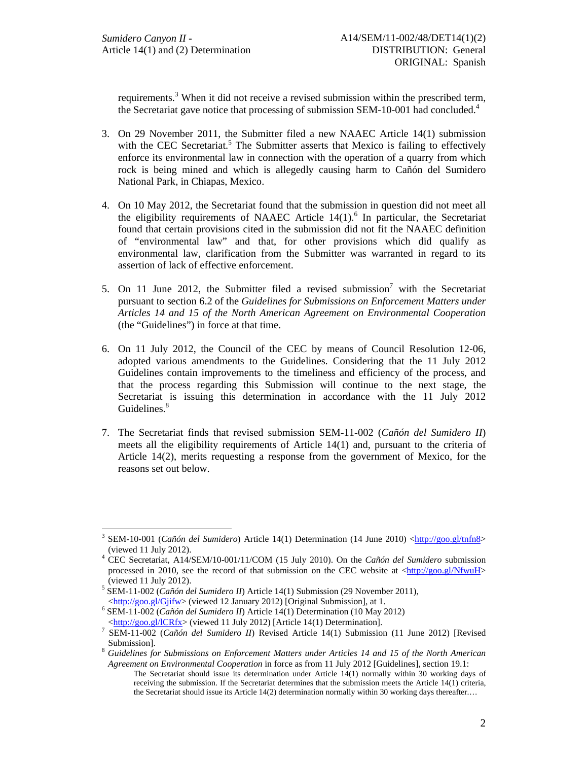requirements.<sup>3</sup> When it did not receive a revised submission within the prescribed term, the Secretariat gave notice that processing of submission SEM-10-001 had concluded.<sup>4</sup>

- 3. On 29 November 2011, the Submitter filed a new NAAEC Article 14(1) submission with the CEC Secretariat.<sup>5</sup> The Submitter asserts that Mexico is failing to effectively enforce its environmental law in connection with the operation of a quarry from which rock is being mined and which is allegedly causing harm to Cañón del Sumidero National Park, in Chiapas, Mexico.
- 4. On 10 May 2012, the Secretariat found that the submission in question did not meet all the eligibility requirements of NAAEC Article  $14(1)$ .<sup>6</sup> In particular, the Secretariat found that certain provisions cited in the submission did not fit the NAAEC definition of "environmental law" and that, for other provisions which did qualify as environmental law, clarification from the Submitter was warranted in regard to its assertion of lack of effective enforcement.
- 5. On 11 June 2012, the Submitter filed a revised submission<sup>7</sup> with the Secretariat pursuant to section 6.2 of the *Guidelines for Submissions on Enforcement Matters under Articles 14 and 15 of the North American Agreement on Environmental Cooperation* (the "Guidelines") in force at that time.
- 6. On 11 July 2012, the Council of the CEC by means of Council Resolution 12-06, adopted various amendments to the Guidelines. Considering that the 11 July 2012 Guidelines contain improvements to the timeliness and efficiency of the process, and that the process regarding this Submission will continue to the next stage, the Secretariat is issuing this determination in accordance with the 11 July 2012 Guidelines. $8<sup>8</sup>$
- 7. The Secretariat finds that revised submission SEM-11-002 (*Cañón del Sumidero II*) meets all the eligibility requirements of Article 14(1) and, pursuant to the criteria of Article 14(2), merits requesting a response from the government of Mexico, for the reasons set out below.

<sup>&</sup>lt;sup>3</sup> SEM-10-001 (*Cañón del Sumidero*) Article 14(1) Determination (14 June 2010) < $\frac{http://goo.gl/tnfn8>}{http://goo.gl/tnfn8>}$ 

<sup>(</sup>viewed 11 July 2012). 4 CEC Secretariat, A14/SEM/10-001/11/COM (15 July 2010). On the *Cañón del Sumidero* submission processed in 2010, see the record of that submission on the CEC website at  $\langle \frac{http://goo.gl/NfwuH}{http://goo.gl/NfwuH} \rangle$ (viewed 11 July 2012). 5

SEM-11-002 (*Cañón del Sumidero II*) Article 14(1) Submission (29 November 2011),  $\lt$ http://goo.gl/Gjifw> (viewed 12 January 2012) [Original Submission], at 1.

SEM-11-002 (*Cañón del Sumidero II*) Article 14(1) Determination (10 May 2012)

 $\frac{\text{http://goo.g/ICRfx}}{T}$  (viewed 11 July 2012) [Article 14(1) Determination].

SEM-11-002 (*Cañón del Sumidero II*) Revised Article 14(1) Submission (11 June 2012) [Revised

Submission]. 8 *Guidelines for Submissions on Enforcement Matters under Articles 14 and 15 of the North American Agreement on Environmental Cooperation* in force as from 11 July 2012 [Guidelines], section 19.1:

The Secretariat should issue its determination under Article 14(1) normally within 30 working days of receiving the submission. If the Secretariat determines that the submission meets the Article 14(1) criteria, the Secretariat should issue its Article 14(2) determination normally within 30 working days thereafter....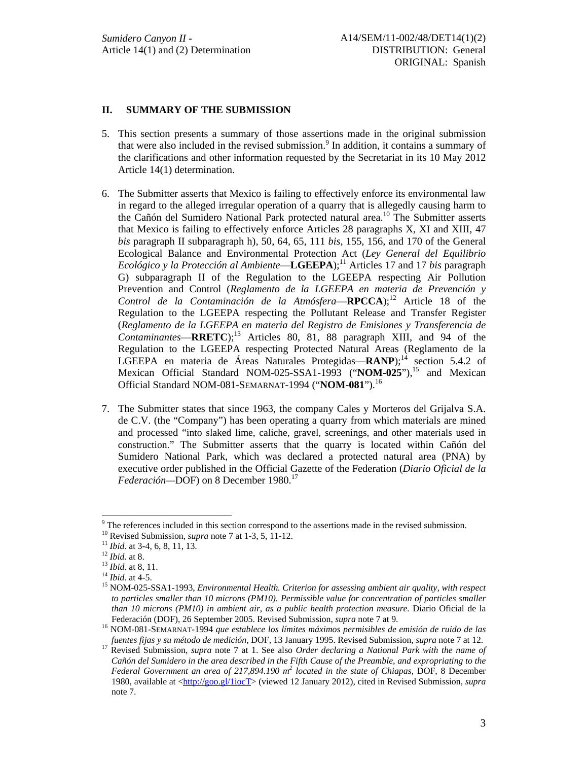## **II. SUMMARY OF THE SUBMISSION**

- 5. This section presents a summary of those assertions made in the original submission that were also included in the revised submission.<sup>9</sup> In addition, it contains a summary of the clarifications and other information requested by the Secretariat in its 10 May 2012 Article 14(1) determination.
- 6. The Submitter asserts that Mexico is failing to effectively enforce its environmental law in regard to the alleged irregular operation of a quarry that is allegedly causing harm to the Cañón del Sumidero National Park protected natural area.10 The Submitter asserts that Mexico is failing to effectively enforce Articles 28 paragraphs X, XI and XIII, 47 *bis* paragraph II subparagraph h), 50, 64, 65, 111 *bis*, 155, 156, and 170 of the General Ecological Balance and Environmental Protection Act (*Ley General del Equilibrio Ecológico y la Protección al Ambiente*—**LGEEPA**);<sup>11</sup> Articles 17 and 17 *bis* paragraph G) subparagraph II of the Regulation to the LGEEPA respecting Air Pollution Prevention and Control (*Reglamento de la LGEEPA en materia de Prevención y Control de la Contaminación de la Atmósfera*—**RPCCA**);<sup>12</sup> Article 18 of the Regulation to the LGEEPA respecting the Pollutant Release and Transfer Register (*Reglamento de la LGEEPA en materia del Registro de Emisiones y Transferencia de*   $Contaminantes = RRETC)$ ;<sup>13</sup> Articles 80, 81, 88 paragraph XIII, and 94 of the Regulation to the LGEEPA respecting Protected Natural Areas (Reglamento de la LGEEPA en materia de Áreas Naturales Protegidas—**RANP**);<sup>14</sup> section 5.4.2 of Mexican Official Standard NOM-025-SSA1-1993 ("NOM-025"),<sup>15</sup> and Mexican Official Standard NOM-081-SEMARNAT-1994 ("**NOM-081**").16
- 7. The Submitter states that since 1963, the company Cales y Morteros del Grijalva S.A. de C.V. (the "Company") has been operating a quarry from which materials are mined and processed "into slaked lime, caliche, gravel, screenings, and other materials used in construction." The Submitter asserts that the quarry is located within Cañón del Sumidero National Park, which was declared a protected natural area (PNA) by executive order published in the Official Gazette of the Federation (*Diario Oficial de la Federación*—DOF) on 8 December 1980.<sup>17</sup>

<sup>&</sup>lt;sup>9</sup> The references included in this section correspond to the assertions made in the revised submission.

<sup>&</sup>lt;sup>10</sup> Revised Submission, *supra* note 7 at 1-3, 5, 11-12.<br><sup>11</sup> *Ibid.* at 3-4, 6, 8, 11, 13.<br><sup>12</sup> *Ibid.* at 8.<br><sup>14</sup> *Ibid.* at 4-5.<br><sup>14</sup> *Ibid.* at 4-5.<br><sup>15</sup> NOM-025-SSA1-1993, *Environmental Health. Criterion for assess to particles smaller than 10 microns (PM10). Permissible value for concentration of particles smaller than 10 microns (PM10) in ambient air, as a public health protection measure.* Diario Oficial de la

Federación (DOF), 26 September 2005. Revised Submission, *supra* note 7 at 9. 16 NOM-081-SEMARNAT-1994 *que establece los límites máximos permisibles de emisión de ruido de las* 

Revised Submission, supra note 7 at 1. See also Order declaring a National Park with the name of *Cañón del Sumidero in the area described in the Fifth Cause of the Preamble, and expropriating to the*  Federal Government an area of 217,894.190 m<sup>2</sup> located in the state of Chiapas, DOF, 8 December 1980, available at <http://goo.gl/1iocT> (viewed 12 January 2012), cited in Revised Submission, *supra* note 7.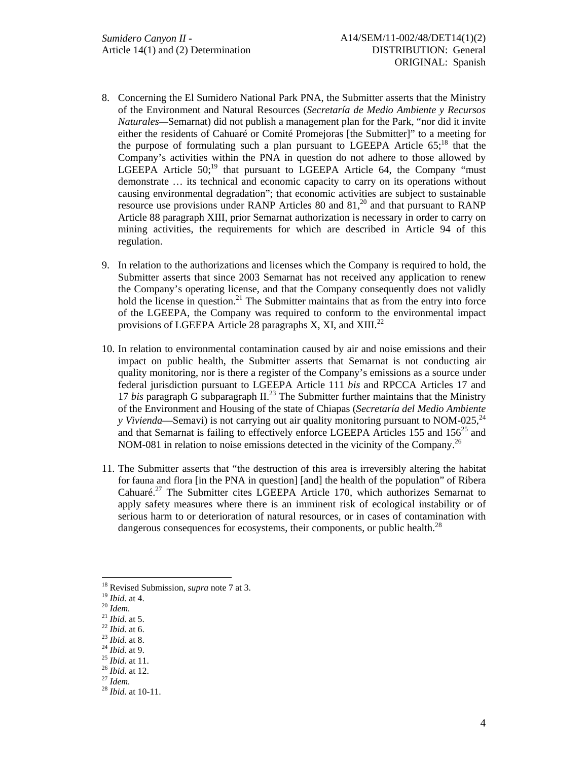- 8. Concerning the El Sumidero National Park PNA, the Submitter asserts that the Ministry of the Environment and Natural Resources (*Secretaría de Medio Ambiente y Recursos Naturales—*Semarnat) did not publish a management plan for the Park, "nor did it invite either the residents of Cahuaré or Comité Promejoras [the Submitter]" to a meeting for the purpose of formulating such a plan pursuant to LGEEPA Article  $65$ ;<sup>18</sup> that the Company's activities within the PNA in question do not adhere to those allowed by LGEEPA Article  $50$ ;<sup>19</sup> that pursuant to LGEEPA Article 64, the Company "must demonstrate … its technical and economic capacity to carry on its operations without causing environmental degradation"; that economic activities are subject to sustainable resource use provisions under RANP Articles 80 and  $81<sup>20</sup>$  and that pursuant to RANP Article 88 paragraph XIII, prior Semarnat authorization is necessary in order to carry on mining activities, the requirements for which are described in Article 94 of this regulation.
- 9. In relation to the authorizations and licenses which the Company is required to hold, the Submitter asserts that since 2003 Semarnat has not received any application to renew the Company's operating license, and that the Company consequently does not validly hold the license in question.<sup>21</sup> The Submitter maintains that as from the entry into force of the LGEEPA, the Company was required to conform to the environmental impact provisions of LGEEPA Article 28 paragraphs X, XI, and XIII. $^{22}$
- 10. In relation to environmental contamination caused by air and noise emissions and their impact on public health, the Submitter asserts that Semarnat is not conducting air quality monitoring, nor is there a register of the Company's emissions as a source under federal jurisdiction pursuant to LGEEPA Article 111 *bis* and RPCCA Articles 17 and 17 *bis* paragraph G subparagraph II.23 The Submitter further maintains that the Ministry of the Environment and Housing of the state of Chiapas (*Secretaría del Medio Ambiente y Vivienda*—Semavi) is not carrying out air quality monitoring pursuant to NOM-025,<sup>24</sup> and that Semarnat is failing to effectively enforce LGEEPA Articles 155 and  $156^{25}$  and NOM-081 in relation to noise emissions detected in the vicinity of the Company.<sup>26</sup>
- 11. The Submitter asserts that "the destruction of this area is irreversibly altering the habitat for fauna and flora [in the PNA in question] [and] the health of the population" of Ribera Cahuaré.27 The Submitter cites LGEEPA Article 170, which authorizes Semarnat to apply safety measures where there is an imminent risk of ecological instability or of serious harm to or deterioration of natural resources, or in cases of contamination with dangerous consequences for ecosystems, their components, or public health.<sup>28</sup>

<sup>&</sup>lt;sup>18</sup> Revised Submission, *supra* note 7 at 3.<br><sup>19</sup> *Ibid.* at 4.<br><sup>20</sup> *Idem.*<br><sup>21</sup> *Ibid.* at 5.<br><sup>22</sup> *Ibid.* at 6.<br><sup>23</sup> *Ibid.* at 8.<br><sup>24</sup> *Ibid.* at 11.<br><sup>25</sup> *Ibid.* at 12.<br><sup>27</sup> *Idem.*<br><sup>28</sup> *Ibid.* at 12.<br><sup>27</sup> *Idem.*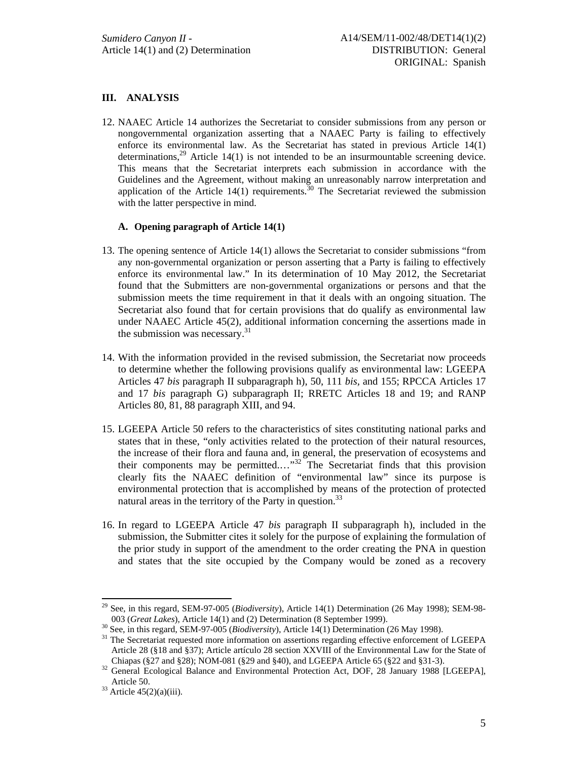# **III. ANALYSIS**

12. NAAEC Article 14 authorizes the Secretariat to consider submissions from any person or nongovernmental organization asserting that a NAAEC Party is failing to effectively enforce its environmental law. As the Secretariat has stated in previous Article 14(1) determinations,<sup>29</sup> Article 14(1) is not intended to be an insurmountable screening device. This means that the Secretariat interprets each submission in accordance with the Guidelines and the Agreement, without making an unreasonably narrow interpretation and application of the Article  $14(1)$  requirements.<sup>30</sup> The Secretariat reviewed the submission with the latter perspective in mind.

### **A. Opening paragraph of Article 14(1)**

- 13. The opening sentence of Article 14(1) allows the Secretariat to consider submissions "from any non-governmental organization or person asserting that a Party is failing to effectively enforce its environmental law." In its determination of 10 May 2012, the Secretariat found that the Submitters are non-governmental organizations or persons and that the submission meets the time requirement in that it deals with an ongoing situation. The Secretariat also found that for certain provisions that do qualify as environmental law under NAAEC Article 45(2), additional information concerning the assertions made in the submission was necessary.<sup>31</sup>
- 14. With the information provided in the revised submission, the Secretariat now proceeds to determine whether the following provisions qualify as environmental law: LGEEPA Articles 47 *bis* paragraph II subparagraph h), 50, 111 *bis,* and 155; RPCCA Articles 17 and 17 *bis* paragraph G) subparagraph II; RRETC Articles 18 and 19; and RANP Articles 80, 81, 88 paragraph XIII, and 94.
- 15. LGEEPA Article 50 refers to the characteristics of sites constituting national parks and states that in these, "only activities related to the protection of their natural resources, the increase of their flora and fauna and, in general, the preservation of ecosystems and their components may be permitted....<sup>"32</sup> The Secretariat finds that this provision clearly fits the NAAEC definition of "environmental law" since its purpose is environmental protection that is accomplished by means of the protection of protected natural areas in the territory of the Party in question.<sup>33</sup>
- 16. In regard to LGEEPA Article 47 *bis* paragraph II subparagraph h), included in the submission, the Submitter cites it solely for the purpose of explaining the formulation of the prior study in support of the amendment to the order creating the PNA in question and states that the site occupied by the Company would be zoned as a recovery

l 29 See, in this regard, SEM-97-005 (*Biodiversity*), Article 14(1) Determination (26 May 1998); SEM-98-

<sup>&</sup>lt;sup>30</sup> See, in this regard, SEM-97-005 (*Biodiversity*), Article 14(1) Determination (26 May 1998).<br><sup>31</sup> The Secretariat requested more information on assertions regarding effective enforcement of LGEEPA Article 28 (§18 and §37); Article artículo 28 section XXVIII of the Environmental Law for the State of Chiapas (§27 and §28); NOM-081 (§29 and §40), and LGEEPA Article 65 (§22 and §31-3).

<sup>&</sup>lt;sup>32</sup> General Ecological Balance and Environmental Protection Act, DOF, 28 January 1988 [LGEEPA], Article 50.  $33$  Article 45(2)(a)(iii).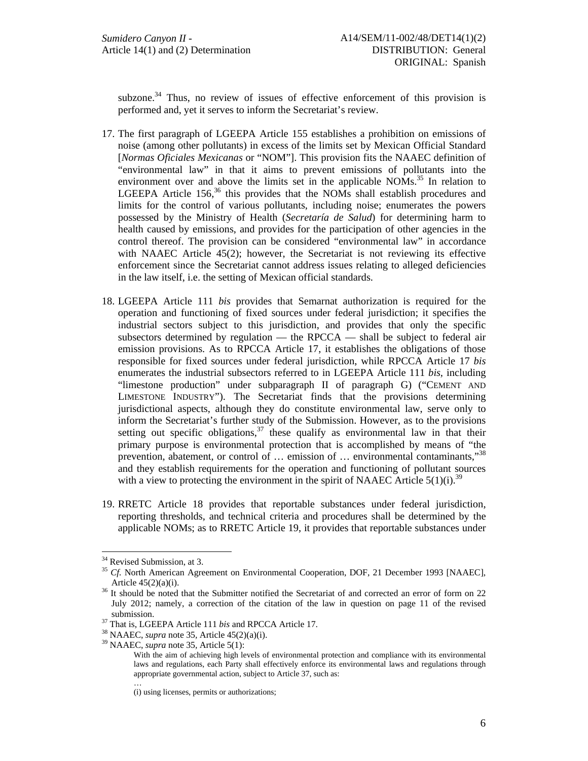subzone.<sup>34</sup> Thus, no review of issues of effective enforcement of this provision is performed and, yet it serves to inform the Secretariat's review.

- 17. The first paragraph of LGEEPA Article 155 establishes a prohibition on emissions of noise (among other pollutants) in excess of the limits set by Mexican Official Standard [*Normas Oficiales Mexicanas* or "NOM"]. This provision fits the NAAEC definition of "environmental law" in that it aims to prevent emissions of pollutants into the environment over and above the limits set in the applicable NOMs.<sup>35</sup> In relation to LGEEPA Article  $156<sup>36</sup>$ , this provides that the NOMs shall establish procedures and limits for the control of various pollutants, including noise; enumerates the powers possessed by the Ministry of Health (*Secretaría de Salud*) for determining harm to health caused by emissions, and provides for the participation of other agencies in the control thereof. The provision can be considered "environmental law" in accordance with NAAEC Article 45(2); however, the Secretariat is not reviewing its effective enforcement since the Secretariat cannot address issues relating to alleged deficiencies in the law itself, i.e. the setting of Mexican official standards.
- 18. LGEEPA Article 111 *bis* provides that Semarnat authorization is required for the operation and functioning of fixed sources under federal jurisdiction; it specifies the industrial sectors subject to this jurisdiction, and provides that only the specific subsectors determined by regulation — the RPCCA — shall be subject to federal air emission provisions. As to RPCCA Article 17, it establishes the obligations of those responsible for fixed sources under federal jurisdiction, while RPCCA Article 17 *bis* enumerates the industrial subsectors referred to in LGEEPA Article 111 *bis,* including "limestone production" under subparagraph II of paragraph G) ("CEMENT AND LIMESTONE INDUSTRY"). The Secretariat finds that the provisions determining jurisdictional aspects, although they do constitute environmental law, serve only to inform the Secretariat's further study of the Submission. However, as to the provisions setting out specific obligations,  $37$  these qualify as environmental law in that their primary purpose is environmental protection that is accomplished by means of "the prevention, abatement, or control of … emission of … environmental contaminants,"38 and they establish requirements for the operation and functioning of pollutant sources with a view to protecting the environment in the spirit of NAAEC Article  $5(1)(i)$ .<sup>39</sup>
- 19. RRETC Article 18 provides that reportable substances under federal jurisdiction, reporting thresholds, and technical criteria and procedures shall be determined by the applicable NOMs; as to RRETC Article 19, it provides that reportable substances under

…

<sup>&</sup>lt;sup>34</sup> Revised Submission, at 3.

<sup>&</sup>lt;sup>35</sup> *Cf.* North American Agreement on Environmental Cooperation, DOF, 21 December 1993 [NAAEC],

Article  $45(2)(a)(i)$ .<br><sup>36</sup> It should be noted that the Submitter notified the Secretariat of and corrected an error of form on 22 July 2012; namely, a correction of the citation of the law in question on page 11 of the revised submission.<br><sup>37</sup> That is, LGEEPA Article 111 *bis* and RPCCA Article 17.<br><sup>38</sup> NAAEC, *supra* note 35, Article 5(1):<br><sup>39</sup> NAAEC, *supra* note 35, Article 5(1):

With the aim of achieving high levels of environmental protection and compliance with its environmental laws and regulations, each Party shall effectively enforce its environmental laws and regulations through appropriate governmental action, subject to Article 37, such as:

<sup>(</sup>i) using licenses, permits or authorizations;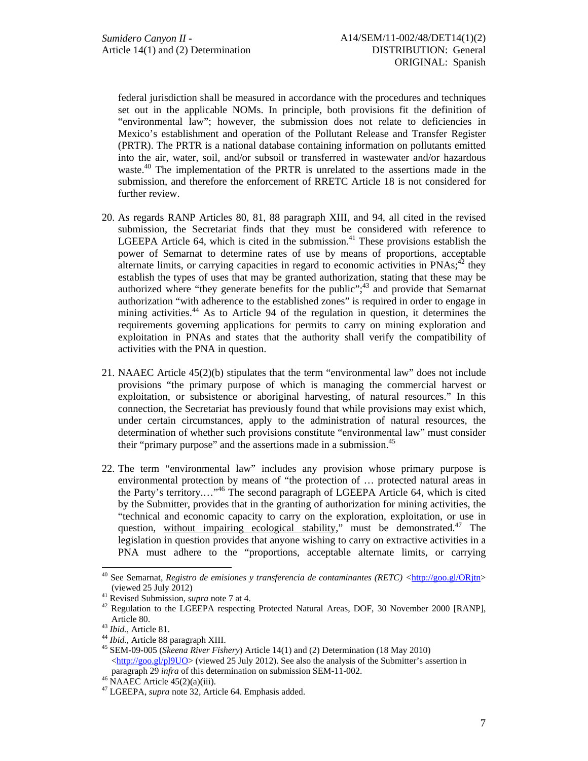federal jurisdiction shall be measured in accordance with the procedures and techniques set out in the applicable NOMs. In principle, both provisions fit the definition of "environmental law"; however, the submission does not relate to deficiencies in Mexico's establishment and operation of the Pollutant Release and Transfer Register (PRTR). The PRTR is a national database containing information on pollutants emitted into the air, water, soil, and/or subsoil or transferred in wastewater and/or hazardous waste.<sup>40</sup> The implementation of the PRTR is unrelated to the assertions made in the submission, and therefore the enforcement of RRETC Article 18 is not considered for further review.

- 20. As regards RANP Articles 80, 81, 88 paragraph XIII, and 94, all cited in the revised submission, the Secretariat finds that they must be considered with reference to LGEEPA Article 64, which is cited in the submission. $41$  These provisions establish the power of Semarnat to determine rates of use by means of proportions, acceptable alternate limits, or carrying capacities in regard to economic activities in  $PNAs<sub>i</sub><sup>42</sup>$  they establish the types of uses that may be granted authorization, stating that these may be authorized where "they generate benefits for the public";<sup>43</sup> and provide that Semarnat authorization "with adherence to the established zones" is required in order to engage in mining activities.<sup>44</sup> As to Article 94 of the regulation in question, it determines the requirements governing applications for permits to carry on mining exploration and exploitation in PNAs and states that the authority shall verify the compatibility of activities with the PNA in question.
- 21. NAAEC Article 45(2)(b) stipulates that the term "environmental law" does not include provisions "the primary purpose of which is managing the commercial harvest or exploitation, or subsistence or aboriginal harvesting, of natural resources." In this connection, the Secretariat has previously found that while provisions may exist which, under certain circumstances, apply to the administration of natural resources, the determination of whether such provisions constitute "environmental law" must consider their "primary purpose" and the assertions made in a submission.<sup>45</sup>
- 22. The term "environmental law" includes any provision whose primary purpose is environmental protection by means of "the protection of … protected natural areas in the Party's territory.…"46 The second paragraph of LGEEPA Article 64, which is cited by the Submitter, provides that in the granting of authorization for mining activities, the "technical and economic capacity to carry on the exploration, exploitation, or use in question, without impairing ecological stability," must be demonstrated. $47$  The legislation in question provides that anyone wishing to carry on extractive activities in a PNA must adhere to the "proportions, acceptable alternate limits, or carrying

<sup>40</sup> See Semarnat, *Registro de emisiones y transferencia de contaminantes (RETC) <*http://goo.gl/ORjtn> (viewed 25 July 2012) 41 Revised Submission, *supra* note 7 at 4. 42 Regulation to the LGEEPA respecting Protected Natural Areas, DOF, 30 November 2000 [RANP],

Article 80.<br><sup>43</sup> *Ibid.*, Article 81.<br><sup>44</sup> *Ibid.*, Article 88 paragraph XIII.<br><sup>45</sup> SEM-09-005 (*Skeena River Fishery*) Article 14(1) and (2) Determination (18 May 2010) <http://goo.gl/pl9UO> (viewed 25 July 2012). See also the analysis of the Submitter's assertion in paragraph 29 *infra* of this determination on submission SEM-11-002.<br><sup>46</sup> NAAEC Article 45(2)(a)(iii).

<sup>47</sup> LGEEPA, *supra* note 32*,* Article 64. Emphasis added.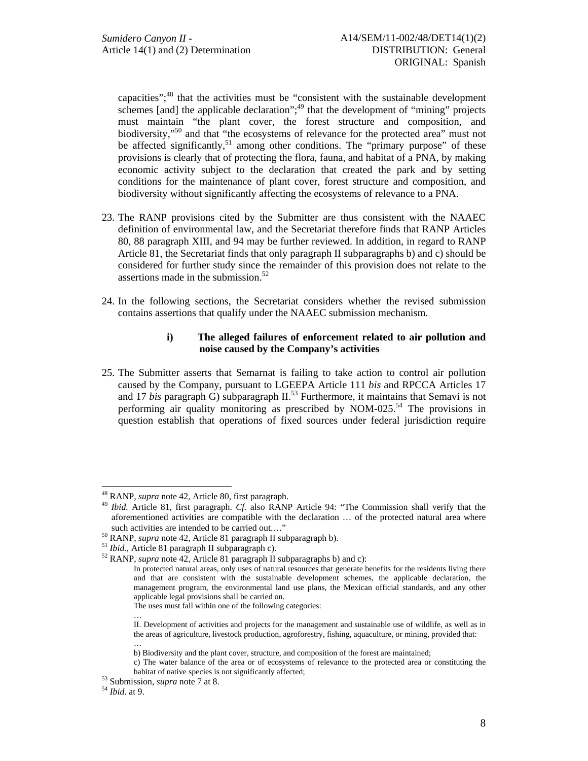capacities";<sup>48</sup> that the activities must be "consistent with the sustainable development schemes [and] the applicable declaration";<sup>49</sup> that the development of "mining" projects must maintain "the plant cover, the forest structure and composition, and biodiversity,"<sup>50</sup> and that "the ecosystems of relevance for the protected area" must not be affected significantly,  $51$  among other conditions. The "primary purpose" of these provisions is clearly that of protecting the flora, fauna, and habitat of a PNA, by making economic activity subject to the declaration that created the park and by setting conditions for the maintenance of plant cover, forest structure and composition, and biodiversity without significantly affecting the ecosystems of relevance to a PNA.

- 23. The RANP provisions cited by the Submitter are thus consistent with the NAAEC definition of environmental law, and the Secretariat therefore finds that RANP Articles 80, 88 paragraph XIII, and 94 may be further reviewed. In addition, in regard to RANP Article 81, the Secretariat finds that only paragraph II subparagraphs b) and c) should be considered for further study since the remainder of this provision does not relate to the assertions made in the submission.<sup>52</sup>
- 24. In the following sections, the Secretariat considers whether the revised submission contains assertions that qualify under the NAAEC submission mechanism.

### **i) The alleged failures of enforcement related to air pollution and noise caused by the Company's activities**

25. The Submitter asserts that Semarnat is failing to take action to control air pollution caused by the Company, pursuant to LGEEPA Article 111 *bis* and RPCCA Articles 17 and 17 *bis* paragraph G) subparagraph II.<sup>53</sup> Furthermore, it maintains that Semavi is not performing air quality monitoring as prescribed by NOM-025.<sup>54</sup> The provisions in question establish that operations of fixed sources under federal jurisdiction require

…

<sup>48</sup> RANP, *supra* note 42*,* Article 80, first paragraph. 49 *Ibid.* Article 81, first paragraph. *Cf.* also RANP Article 94: "The Commission shall verify that the aforementioned activities are compatible with the declaration … of the protected natural area where

such activities are intended to be carried out...."<br><sup>50</sup> RANP, *supra* note 42, Article 81 paragraph II subparagraph b).<br><sup>51</sup> *Ibid.*, Article 81 paragraph II subparagraph c).<br><sup>52</sup> RANP, *supra* note 42, Article 81 paragr

In protected natural areas, only uses of natural resources that generate benefits for the residents living there and that are consistent with the sustainable development schemes, the applicable declaration, the management program, the environmental land use plans, the Mexican official standards, and any other applicable legal provisions shall be carried on.

The uses must fall within one of the following categories:

II. Development of activities and projects for the management and sustainable use of wildlife, as well as in the areas of agriculture, livestock production, agroforestry, fishing, aquaculture, or mining, provided that: …

b) Biodiversity and the plant cover, structure, and composition of the forest are maintained;

c) The water balance of the area or of ecosystems of relevance to the protected area or constituting the habitat of native species is not significantly affected;<br><sup>53</sup> Submission, *supra* note 7 at 8.<br>*<sup>54</sup> Ibid.* at 9.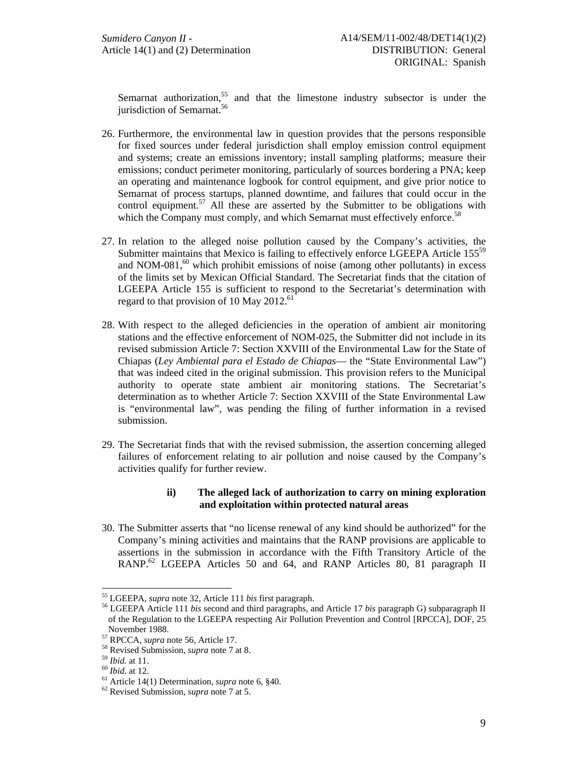Semarnat authorization,<sup>55</sup> and that the limestone industry subsector is under the jurisdiction of Semarnat.<sup>56</sup>

- 26. Furthermore, the environmental law in question provides that the persons responsible for fixed sources under federal jurisdiction shall employ emission control equipment and systems; create an emissions inventory; install sampling platforms; measure their emissions; conduct perimeter monitoring, particularly of sources bordering a PNA; keep an operating and maintenance logbook for control equipment, and give prior notice to Semarnat of process startups, planned downtime, and failures that could occur in the control equipment.<sup>57</sup> All these are asserted by the Submitter to be obligations with which the Company must comply, and which Semarnat must effectively enforce.<sup>58</sup>
- 27. In relation to the alleged noise pollution caused by the Company's activities, the Submitter maintains that Mexico is failing to effectively enforce LGEEPA Article 155<sup>59</sup> and NOM-081 $<sup>60</sup>$  which prohibit emissions of noise (among other pollutants) in excess</sup> of the limits set by Mexican Official Standard. The Secretariat finds that the citation of LGEEPA Article 155 is sufficient to respond to the Secretariat's determination with regard to that provision of 10 May 2012.<sup>61</sup>
- 28. With respect to the alleged deficiencies in the operation of ambient air monitoring stations and the effective enforcement of NOM-025, the Submitter did not include in its revised submission Article 7: Section XXVIII of the Environmental Law for the State of Chiapas (*Ley Ambiental para el Estado de Chiapas*— the "State Environmental Law") that was indeed cited in the original submission. This provision refers to the Municipal authority to operate state ambient air monitoring stations. The Secretariat's determination as to whether Article 7: Section XXVIII of the State Environmental Law is "environmental law", was pending the filing of further information in a revised submission.
- 29. The Secretariat finds that with the revised submission, the assertion concerning alleged failures of enforcement relating to air pollution and noise caused by the Company's activities qualify for further review.

# **ii) The alleged lack of authorization to carry on mining exploration and exploitation within protected natural areas**

30. The Submitter asserts that "no license renewal of any kind should be authorized" for the Company's mining activities and maintains that the RANP provisions are applicable to assertions in the submission in accordance with the Fifth Transitory Article of the RANP.<sup>62</sup> LGEEPA Articles 50 and 64, and RANP Articles 80, 81 paragraph II

<sup>&</sup>lt;sup>55</sup> LGEEPA, *supra* note 32, Article 111 *bis* first paragraph.

<sup>&</sup>lt;sup>56</sup> LGEEPA Article 111 *bis second and third paragraphs*, and Article 17 *bis paragraph G*) subparagraph II of the Regulation to the LGEEPA respecting Air Pollution Prevention and Control [RPCCA], DOF, 25

November 1988.<br><sup>57</sup> RPCCA, *supra* note 56, Article 17.<br><sup>58</sup> Revised Submission, *supra* note 7 at 8.<br><sup>59</sup> *Ibid.* at 11.<br><sup>60</sup> *Ibid.* at 12.<br><sup>61</sup> Article 14(1) Determination, *supra* note 6, §40.<br><sup>62</sup> Revised Submission,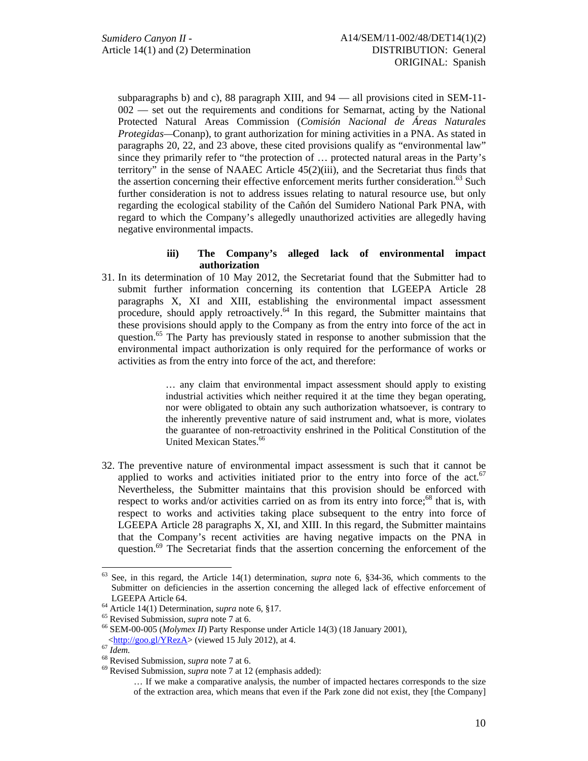subparagraphs b) and c), 88 paragraph XIII, and 94 — all provisions cited in SEM-11- 002 — set out the requirements and conditions for Semarnat, acting by the National Protected Natural Areas Commission (*Comisión Nacional de Áreas Naturales Protegidas—*Conanp), to grant authorization for mining activities in a PNA. As stated in paragraphs 20, 22, and 23 above, these cited provisions qualify as "environmental law" since they primarily refer to "the protection of … protected natural areas in the Party's territory" in the sense of NAAEC Article 45(2)(iii), and the Secretariat thus finds that the assertion concerning their effective enforcement merits further consideration.<sup>63</sup> Such further consideration is not to address issues relating to natural resource use, but only regarding the ecological stability of the Cañón del Sumidero National Park PNA, with regard to which the Company's allegedly unauthorized activities are allegedly having negative environmental impacts.

### **iii) The Company's alleged lack of environmental impact authorization**

31. In its determination of 10 May 2012, the Secretariat found that the Submitter had to submit further information concerning its contention that LGEEPA Article 28 paragraphs X, XI and XIII, establishing the environmental impact assessment procedure, should apply retroactively.64 In this regard, the Submitter maintains that these provisions should apply to the Company as from the entry into force of the act in question.<sup>65</sup> The Party has previously stated in response to another submission that the environmental impact authorization is only required for the performance of works or activities as from the entry into force of the act, and therefore:

> … any claim that environmental impact assessment should apply to existing industrial activities which neither required it at the time they began operating, nor were obligated to obtain any such authorization whatsoever, is contrary to the inherently preventive nature of said instrument and, what is more, violates the guarantee of non-retroactivity enshrined in the Political Constitution of the United Mexican States.<sup>66</sup>

32. The preventive nature of environmental impact assessment is such that it cannot be applied to works and activities initiated prior to the entry into force of the  $act<sup>67</sup>$ Nevertheless, the Submitter maintains that this provision should be enforced with respect to works and/or activities carried on as from its entry into force;<sup>68</sup> that is, with respect to works and activities taking place subsequent to the entry into force of LGEEPA Article 28 paragraphs X, XI, and XIII. In this regard, the Submitter maintains that the Company's recent activities are having negative impacts on the PNA in question.<sup>69</sup> The Secretariat finds that the assertion concerning the enforcement of the

<sup>63</sup> 63 See, in this regard, the Article 14(1) determination, *supra* note 6, §34-36, which comments to the Submitter on deficiencies in the assertion concerning the alleged lack of effective enforcement of LGEEPA Article 64.<br><sup>64</sup> Article 14(1) Determination, *supra* note 6, §17.<br><sup>65</sup> Revised Submission, *supra* note 7 at 6.<br><sup>66</sup> SEM-00-005 (*Molymex II*) Party Response under Article 14(3) (18 January 2001),<br>
<http://goo.gl/Y

<sup>&</sup>lt;sup>67</sup> *Idem.* <sup>68</sup> Revised Submission, *supra* note 7 at 6. <sup>69</sup> Revised Submission, *supra* note 7 at 12 (emphasis added):

<sup>…</sup> If we make a comparative analysis, the number of impacted hectares corresponds to the size of the extraction area, which means that even if the Park zone did not exist, they [the Company]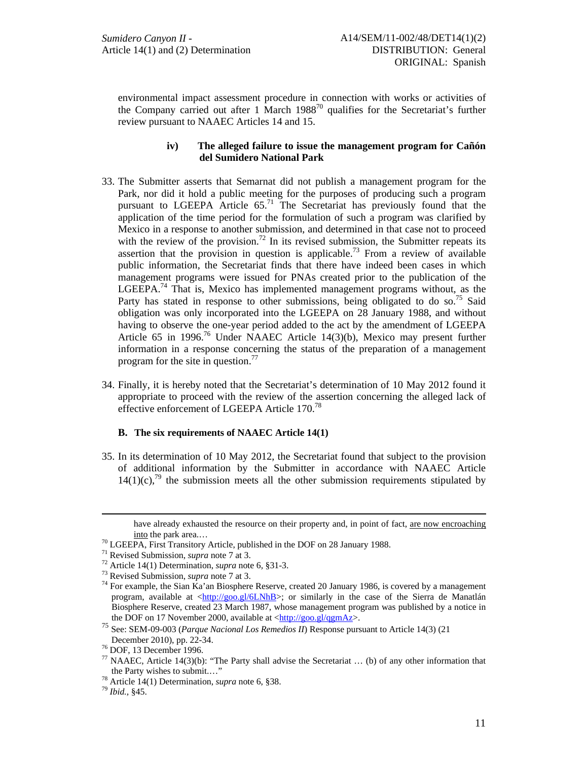environmental impact assessment procedure in connection with works or activities of the Company carried out after 1 March  $1988^{70}$  qualifies for the Secretariat's further review pursuant to NAAEC Articles 14 and 15.

### **iv) The alleged failure to issue the management program for Cañón del Sumidero National Park**

- 33. The Submitter asserts that Semarnat did not publish a management program for the Park, nor did it hold a public meeting for the purposes of producing such a program pursuant to LGEEPA Article  $65$ .<sup>71</sup> The Secretariat has previously found that the application of the time period for the formulation of such a program was clarified by Mexico in a response to another submission, and determined in that case not to proceed with the review of the provision.<sup>72</sup> In its revised submission, the Submitter repeats its assertion that the provision in question is applicable.<sup>73</sup> From a review of available public information, the Secretariat finds that there have indeed been cases in which management programs were issued for PNAs created prior to the publication of the LGEEPA.74 That is, Mexico has implemented management programs without, as the Party has stated in response to other submissions, being obligated to do so.<sup>75</sup> Said obligation was only incorporated into the LGEEPA on 28 January 1988, and without having to observe the one-year period added to the act by the amendment of LGEEPA Article 65 in 1996.<sup>76</sup> Under NAAEC Article 14(3)(b), Mexico may present further information in a response concerning the status of the preparation of a management program for the site in question.<sup>77</sup>
- 34. Finally, it is hereby noted that the Secretariat's determination of 10 May 2012 found it appropriate to proceed with the review of the assertion concerning the alleged lack of effective enforcement of LGEEPA Article 170.78

#### **B. The six requirements of NAAEC Article 14(1)**

35. In its determination of 10 May 2012, the Secretariat found that subject to the provision of additional information by the Submitter in accordance with NAAEC Article  $14(1)(c)$ ,<sup>79</sup> the submission meets all the other submission requirements stipulated by

<u>.</u>

have already exhausted the resource on their property and, in point of fact, are now encroaching

<sup>&</sup>lt;sup>70</sup> LGEEPA, First Transitory Article, published in the DOF on 28 January 1988.<br><sup>71</sup> Revised Submission, *supra* note 7 at 3.

<sup>&</sup>lt;sup>72</sup> Article 14(1) Determination, *supra* note 6, §31-3.<br><sup>73</sup> Revised Submission, *supra* note 7 at 3.<br><sup>74</sup> For example, the Sian Ka'an Biosphere Reserve, created 20 January 1986, is covered by a management program, available at <http://goo.gl/6LNhB>; or similarly in the case of the Sierra de Manatlán Biosphere Reserve, created 23 March 1987, whose management program was published by a notice in the DOF on 17 November 2000, available at <http://goo.gl/qgmAz>.

<sup>75</sup> See: SEM-09-003 (*Parque Nacional Los Remedios II*) Response pursuant to Article 14(3) (21

 $76$  DOF, 13 December 1996.

<sup>&</sup>lt;sup>77</sup> NAAEC, Article 14(3)(b): "The Party shall advise the Secretariat ... (b) of any other information that the Party wishes to submit...."

<sup>&</sup>lt;sup>78</sup> Article 14(1) Determination, *supra* note 6, §38.<br><sup>79</sup> *Ibid.*, §45.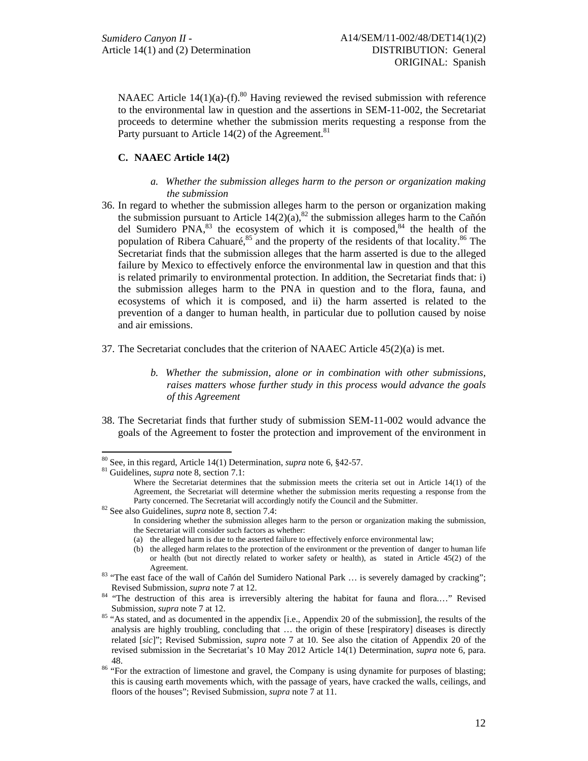NAAEC Article  $14(1)(a)$ -(f).<sup>80</sup> Having reviewed the revised submission with reference to the environmental law in question and the assertions in SEM-11-002, the Secretariat proceeds to determine whether the submission merits requesting a response from the Party pursuant to Article 14(2) of the Agreement.<sup>81</sup>

# **C. NAAEC Article 14(2)**

- *a. Whether the submission alleges harm to the person or organization making the submission*
- 36. In regard to whether the submission alleges harm to the person or organization making the submission pursuant to Article  $14(2)(a)$ ,<sup>82</sup> the submission alleges harm to the Cañón del Sumidero PNA,  $83$  the ecosystem of which it is composed,  $84$  the health of the population of Ribera Cahuaré, $85$  and the property of the residents of that locality. $86$  The Secretariat finds that the submission alleges that the harm asserted is due to the alleged failure by Mexico to effectively enforce the environmental law in question and that this is related primarily to environmental protection. In addition, the Secretariat finds that: i) the submission alleges harm to the PNA in question and to the flora, fauna, and ecosystems of which it is composed, and ii) the harm asserted is related to the prevention of a danger to human health, in particular due to pollution caused by noise and air emissions.
- 37. The Secretariat concludes that the criterion of NAAEC Article 45(2)(a) is met.
	- *b. Whether the submission, alone or in combination with other submissions, raises matters whose further study in this process would advance the goals of this Agreement*
- 38. The Secretariat finds that further study of submission SEM-11-002 would advance the goals of the Agreement to foster the protection and improvement of the environment in

 $\overline{a}$ 

<sup>80</sup> See, in this regard, Article 14(1) Determination, *supra* note 6, §42-57. 81 Guidelines, *supra* note 8*,* section 7.1:

Where the Secretariat determines that the submission meets the criteria set out in Article 14(1) of the Agreement, the Secretariat will determine whether the submission merits requesting a response from the Party concerned. The Secretariat will accordingly notify the Council and the Submitter. 82 See also Guidelines, *supra* note 8*,* section 7.4:

In considering whether the submission alleges harm to the person or organization making the submission, the Secretariat will consider such factors as whether:

<sup>(</sup>a) the alleged harm is due to the asserted failure to effectively enforce environmental law;

<sup>(</sup>b) the alleged harm relates to the protection of the environment or the prevention of danger to human life or health (but not directly related to worker safety or health), as stated in Article 45(2) of the

Agreement.<br><sup>83</sup> "The east face of the wall of Cañón del Sumidero National Park ... is severely damaged by cracking";

Revised Submission, *supra* note 7 at 12.<br><sup>84</sup> "The destruction of this area is irreversibly altering the habitat for fauna and flora...." Revised Submission, *supra* note 7 at 12.<br><sup>85</sup> "As stated, and as documented in the appendix [i.e., Appendix 20 of the submission], the results of the

analysis are highly troubling, concluding that … the origin of these [respiratory] diseases is directly related [*sic*]"; Revised Submission, *supra* note 7 at 10. See also the citation of Appendix 20 of the revised submission in the Secretariat's 10 May 2012 Article 14(1) Determination, *supra* note 6*,* para.

<sup>48.&</sup>lt;br><sup>86</sup> "For the extraction of limestone and gravel, the Company is using dynamite for purposes of blasting; this is causing earth movements which, with the passage of years, have cracked the walls, ceilings, and floors of the houses"; Revised Submission, *supra* note 7 at 11.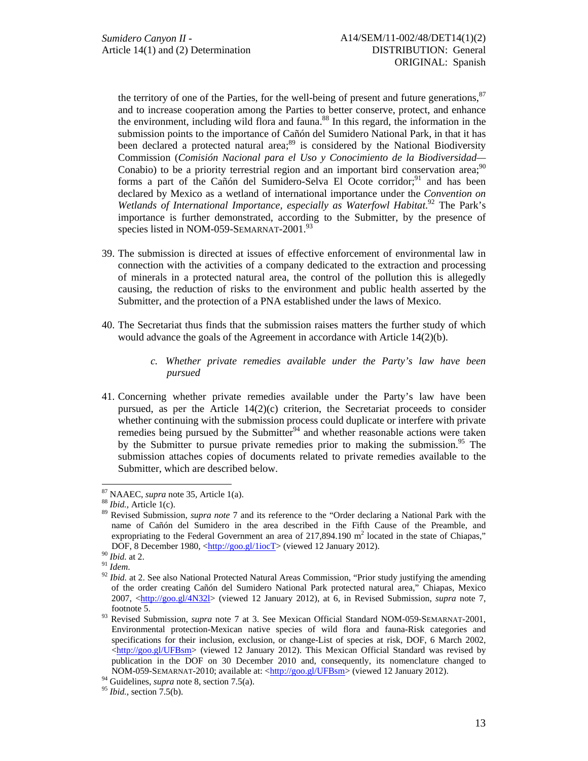the territory of one of the Parties, for the well-being of present and future generations,<sup>87</sup> and to increase cooperation among the Parties to better conserve, protect, and enhance the environment, including wild flora and fauna.<sup>88</sup> In this regard, the information in the submission points to the importance of Cañón del Sumidero National Park, in that it has been declared a protected natural area;<sup>89</sup> is considered by the National Biodiversity Commission (*Comisión Nacional para el Uso y Conocimiento de la Biodiversidad—* Conabio) to be a priority terrestrial region and an important bird conservation area;  $90$ forms a part of the Cañón del Sumidero-Selva El Ocote corridor;<sup>91</sup> and has been declared by Mexico as a wetland of international importance under the *Convention on*  Wetlands of International Importance, especially as Waterfowl Habitat.<sup>92</sup> The Park's importance is further demonstrated, according to the Submitter, by the presence of species listed in NOM-059-SEMARNAT-2001.<sup>93</sup>

- 39. The submission is directed at issues of effective enforcement of environmental law in connection with the activities of a company dedicated to the extraction and processing of minerals in a protected natural area, the control of the pollution this is allegedly causing, the reduction of risks to the environment and public health asserted by the Submitter, and the protection of a PNA established under the laws of Mexico.
- 40. The Secretariat thus finds that the submission raises matters the further study of which would advance the goals of the Agreement in accordance with Article 14(2)(b).
	- *c. Whether private remedies available under the Party's law have been pursued*
- 41. Concerning whether private remedies available under the Party's law have been pursued, as per the Article  $14(2)(c)$  criterion, the Secretariat proceeds to consider whether continuing with the submission process could duplicate or interfere with private remedies being pursued by the Submitter<sup>94</sup> and whether reasonable actions were taken by the Submitter to pursue private remedies prior to making the submission.<sup>95</sup> The submission attaches copies of documents related to private remedies available to the Submitter, which are described below.

<sup>&</sup>lt;sup>87</sup> NAAEC, *supra* note 35, Article 1(a).<br><sup>88</sup> *Ibid.*, Article 1(c).<br><sup>89</sup> Revised Submission, *supra note* 7 and its reference to the "Order declaring a National Park with the name of Cañón del Sumidero in the area described in the Fifth Cause of the Preamble, and expropriating to the Federal Government an area of  $217,894.190$  m<sup>2</sup> located in the state of Chiapas,"

DOF, 8 December 1980, <http://goo.gl/1iocT> (viewed 12 January 2012).<br><sup>90</sup> *Ibid.* at 2.<br><sup>91</sup> *Idem.*<br><sup>92</sup> *Ibid.* at 2. See also National Protected Natural Areas Commission, "Prior study justifying the amending <sup>92</sup> of the order creating Cañón del Sumidero National Park protected natural area," Chiapas, Mexico 2007, <http://goo.gl/4N32l> (viewed 12 January 2012), at 6, in Revised Submission, *supra* note 7,

footnote 5. 93 Revised Submission, *supra* note 7 at 3. See Mexican Official Standard NOM-059-SEMARNAT-2001, Environmental protection-Mexican native species of wild flora and fauna-Risk categories and specifications for their inclusion, exclusion, or change-List of species at risk, DOF, 6 March 2002, <http://goo.gl/UFBsm> (viewed 12 January 2012). This Mexican Official Standard was revised by publication in the DOF on 30 December 2010 and, consequently, its nomenclature changed to NOM-059-SEMARNAT-2010; available at:  $\frac{\text{http://goo.gl/UFBsm}}{\text{95}}$  (viewed 12 January 2012).<br><sup>94</sup> Guidelines, *supra* note 8, section 7.5(a).<br><sup>95</sup> *Ibid.*, section 7.5(b).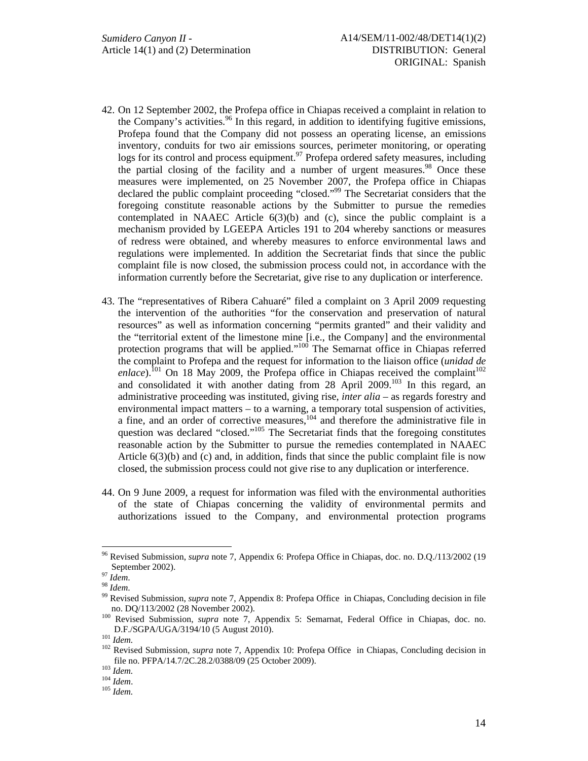- 42. On 12 September 2002, the Profepa office in Chiapas received a complaint in relation to the Company's activities. $96$  In this regard, in addition to identifying fugitive emissions, Profepa found that the Company did not possess an operating license, an emissions inventory, conduits for two air emissions sources, perimeter monitoring, or operating logs for its control and process equipment.<sup>97</sup> Profepa ordered safety measures, including the partial closing of the facility and a number of urgent measures.<sup>98</sup> Once these measures were implemented, on 25 November 2007, the Profepa office in Chiapas declared the public complaint proceeding "closed."<sup>99</sup> The Secretariat considers that the foregoing constitute reasonable actions by the Submitter to pursue the remedies contemplated in NAAEC Article  $6(3)(b)$  and (c), since the public complaint is a mechanism provided by LGEEPA Articles 191 to 204 whereby sanctions or measures of redress were obtained, and whereby measures to enforce environmental laws and regulations were implemented. In addition the Secretariat finds that since the public complaint file is now closed, the submission process could not, in accordance with the information currently before the Secretariat, give rise to any duplication or interference.
- 43. The "representatives of Ribera Cahuaré" filed a complaint on 3 April 2009 requesting the intervention of the authorities "for the conservation and preservation of natural resources" as well as information concerning "permits granted" and their validity and the "territorial extent of the limestone mine [i.e., the Company] and the environmental protection programs that will be applied."<sup>100</sup> The Semarnat office in Chiapas referred the complaint to Profepa and the request for information to the liaison office (*unidad de enlace*).<sup>101</sup> On 18 May 2009, the Profepa office in Chiapas received the complaint<sup>102</sup> and consolidated it with another dating from  $28$  April  $2009$ .<sup>103</sup> In this regard, an administrative proceeding was instituted, giving rise, *inter alia* – as regards forestry and environmental impact matters – to a warning, a temporary total suspension of activities, a fine, and an order of corrective measures, $104$  and therefore the administrative file in question was declared "closed."<sup>105</sup> The Secretariat finds that the foregoing constitutes reasonable action by the Submitter to pursue the remedies contemplated in NAAEC Article  $6(3)(b)$  and (c) and, in addition, finds that since the public complaint file is now closed, the submission process could not give rise to any duplication or interference.
- 44. On 9 June 2009, a request for information was filed with the environmental authorities of the state of Chiapas concerning the validity of environmental permits and authorizations issued to the Company, and environmental protection programs

<sup>96</sup> Revised Submission, *supra* note 7, Appendix 6: Profepa Office in Chiapas, doc. no. D.Q./113/2002 (19 September 2002).<br><sup>97</sup> *Idem*.<br><sup>98</sup> *Idem*.<br><sup>99</sup> Revised Submission, *supra* note 7, Appendix 8: Profepa Office in Chiapas, Concluding decision in file

no. DQ/113/2002 (28 November 2002). 100 Revised Submission, *supra* note 7, Appendix 5: Semarnat, Federal Office in Chiapas, doc. no.

D.F./SGPA/UGA/3194/10 (5 August 2010).<br><sup>101</sup> *Idem.* <br><sup>102</sup> Revised Submission, *supra* note 7, Appendix 10: Profepa Office in Chiapas, Concluding decision in file no. PFPA/14.7/2C.28.2/0388/09 (25 October 2009). 103 *Idem.* <sup>104</sup> *Idem*. 105 *Idem.*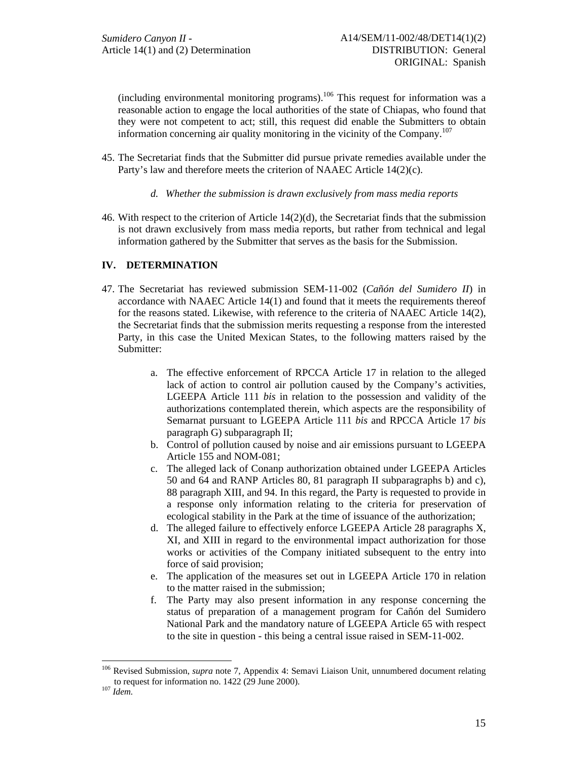(including environmental monitoring programs).<sup>106</sup> This request for information was a reasonable action to engage the local authorities of the state of Chiapas, who found that they were not competent to act; still, this request did enable the Submitters to obtain information concerning air quality monitoring in the vicinity of the Company.<sup>107</sup>

- 45. The Secretariat finds that the Submitter did pursue private remedies available under the Party's law and therefore meets the criterion of NAAEC Article 14(2)(c).
	- *d. Whether the submission is drawn exclusively from mass media reports*
- 46. With respect to the criterion of Article 14(2)(d), the Secretariat finds that the submission is not drawn exclusively from mass media reports, but rather from technical and legal information gathered by the Submitter that serves as the basis for the Submission.

# **IV. DETERMINATION**

- 47. The Secretariat has reviewed submission SEM-11-002 (*Cañón del Sumidero II*) in accordance with NAAEC Article 14(1) and found that it meets the requirements thereof for the reasons stated. Likewise, with reference to the criteria of NAAEC Article 14(2), the Secretariat finds that the submission merits requesting a response from the interested Party, in this case the United Mexican States, to the following matters raised by the Submitter:
	- a. The effective enforcement of RPCCA Article 17 in relation to the alleged lack of action to control air pollution caused by the Company's activities, LGEEPA Article 111 *bis* in relation to the possession and validity of the authorizations contemplated therein, which aspects are the responsibility of Semarnat pursuant to LGEEPA Article 111 *bis* and RPCCA Article 17 *bis* paragraph G) subparagraph II;
	- b. Control of pollution caused by noise and air emissions pursuant to LGEEPA Article 155 and NOM-081;
	- c. The alleged lack of Conanp authorization obtained under LGEEPA Articles 50 and 64 and RANP Articles 80, 81 paragraph II subparagraphs b) and c), 88 paragraph XIII, and 94. In this regard, the Party is requested to provide in a response only information relating to the criteria for preservation of ecological stability in the Park at the time of issuance of the authorization;
	- d. The alleged failure to effectively enforce LGEEPA Article 28 paragraphs X, XI, and XIII in regard to the environmental impact authorization for those works or activities of the Company initiated subsequent to the entry into force of said provision;
	- e. The application of the measures set out in LGEEPA Article 170 in relation to the matter raised in the submission;
	- f. The Party may also present information in any response concerning the status of preparation of a management program for Cañón del Sumidero National Park and the mandatory nature of LGEEPA Article 65 with respect to the site in question - this being a central issue raised in SEM-11-002.

<sup>106</sup> Revised Submission, *supra* note 7, Appendix 4: Semavi Liaison Unit, unnumbered document relating to request for information no. 1422 (29 June 2000). 107 *Idem.*